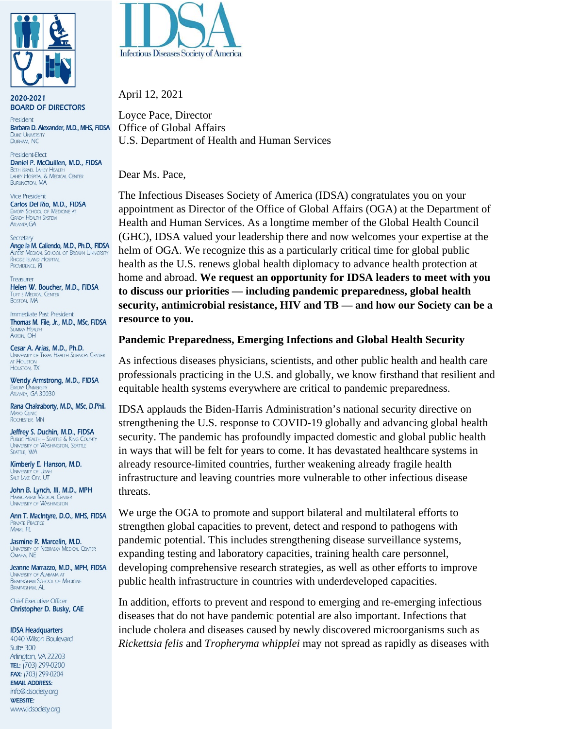

2020-2021 **BOARD OF DIRECTORS** 

President Barbara D. Alexander, M.D., MHS, FIDSA **DUKE UNIVER** DURHAM, NC

President-Elect Daniel P. McQuillen, M.D., FIDSA BETH ISRAEL LAHEY HEALTH<br>LAHEY HOSPITAL & MEDICAL CENTER **BURLINGTON, MA** 

**Vice President** Carlos Del Rio, M.D., FIDSA EMORY SCHOOL OF MEDICINE AT **GRADY HEALTH SYSTEM** ATLANTA, GA

Secretary Ange la M. Caliendo, M.D., Ph.D., FIDSA ALPERT MEDICAL SCHOOL OF BROWN UNIVERSITY RHODE ISLAND HOSPITAL PROVIDENCE, RI

Treasurer Helen W. Boucher, M.D., FIDSA TUFT S MEDICAL CENTER BOSTON, MA

Immediate Past President Thomas M. File, Jr., M.D., MSc, FIDSA **SUMMA HEALTH** AKRON, OH

Cesar A. Arias, M.D., Ph.D. UNIVERSITY OF TEXAS HEALTH SCIENCES CENTER AT HOUSTON **HOUSTON TX** 

Wendy Armstrong, M.D., FIDSA ATLANTA, GA 30030

Rana Chakraborty, M.D., MSc, D.Phil. MAYO CLINIC<br>ROCHESTER, MN

Jeffrey S. Duchin, M.D., FIDSA PUBLIC HEALTH - SEATTLE & KING COUNTY<br>UNIVERSITY OF WASHINGTON, SEATTLE SEATTLE, WA

Kimberly E. Hanson, M.D. UNIVERSITY OF UTAH

John B. Lynch, III, M.D., MPH HARBORVIEW MEDICAL CENTE **UNIVERSITY OF WASHINGTON** 

Ann T. MacIntyre, D.O., MHS, FIDSA PRIVATE PRACTICE MIAMI, FL

Jasmine R. Marcelin, M.D. UNIVERSITY OF NEBRASKA MEDICAL CENTER<br>Omaha, NE

Jeanne Marrazzo, M.D., MPH, FIDSA UNIVERSITY OF ALABAMA AT<br>BIRMINGHAM SCHOOL OF MEDICINE **BIRMINGHAM, AL** 

**Chief Executive Officer** Christopher D. Busky, CAE

**IDSA Headquarters** 

4040 Wilson Boulevard Suite 300 Arlington, VA 22203 TEL: (703) 299-0200 FAX: (703) 299-0204 **EMAIL ADDRESS:** info@idsociety.org **WEBSITE:** www.idsociety.org



April 12, 2021

Loyce Pace, Director Office of Global Affairs U.S. Department of Health and Human Services

Dear Ms. Pace,

The Infectious Diseases Society of America (IDSA) congratulates you on your appointment as Director of the Office of Global Affairs (OGA) at the Department of Health and Human Services. As a longtime member of the Global Health Council (GHC), IDSA valued your leadership there and now welcomes your expertise at the helm of OGA. We recognize this as a particularly critical time for global public health as the U.S. renews global health diplomacy to advance health protection at home and abroad. **We request an opportunity for IDSA leaders to meet with you to discuss our priorities — including pandemic preparedness, global health security, antimicrobial resistance, HIV and TB — and how our Society can be a resource to you.**

#### **Pandemic Preparedness, Emerging Infections and Global Health Security**

As infectious diseases physicians, scientists, and other public health and health care professionals practicing in the U.S. and globally, we know firsthand that resilient and equitable health systems everywhere are critical to pandemic preparedness.

IDSA applauds the Biden-Harris Administration's national security directive on strengthening the U.S. response to COVID-19 globally and advancing global health security. The pandemic has profoundly impacted domestic and global public health in ways that will be felt for years to come. It has devastated healthcare systems in already resource-limited countries, further weakening already fragile health infrastructure and leaving countries more vulnerable to other infectious disease threats.

We urge the OGA to promote and support bilateral and multilateral efforts to strengthen global capacities to prevent, detect and respond to pathogens with pandemic potential. This includes strengthening disease surveillance systems, expanding testing and laboratory capacities, training health care personnel, developing comprehensive research strategies, as well as other efforts to improve public health infrastructure in countries with underdeveloped capacities.

In addition, efforts to prevent and respond to emerging and re-emerging infectious diseases that do not have pandemic potential are also important. Infections that include cholera and diseases caused by newly discovered microorganisms such as *Rickettsia felis* and *Tropheryma whipplei* may not spread as rapidly as diseases with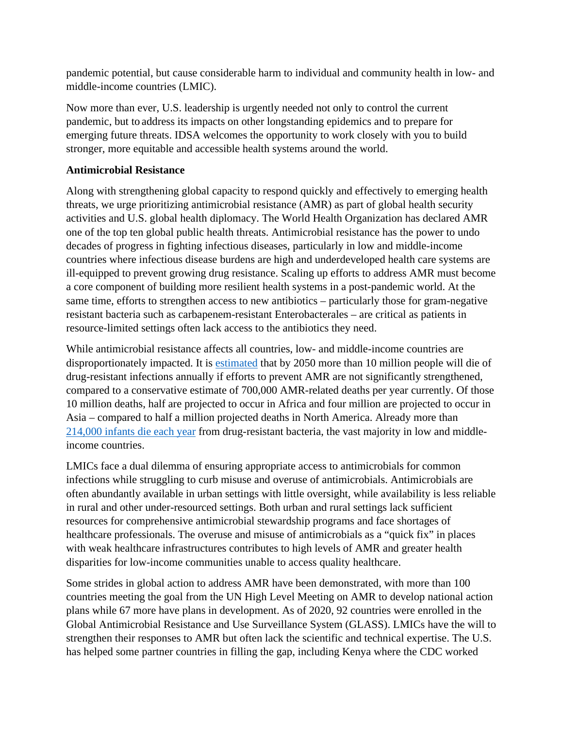pandemic potential, but cause considerable harm to individual and community health in low- and middle-income countries (LMIC).

Now more than ever, U.S. leadership is urgently needed not only to control the current pandemic, but to address its impacts on other longstanding epidemics and to prepare for emerging future threats. IDSA welcomes the opportunity to work closely with you to build stronger, more equitable and accessible health systems around the world.

#### **Antimicrobial Resistance**

Along with strengthening global capacity to respond quickly and effectively to emerging health threats, we urge prioritizing antimicrobial resistance (AMR) as part of global health security activities and U.S. global health diplomacy. The World Health Organization has declared AMR one of the top ten global public health threats. Antimicrobial resistance has the power to undo decades of progress in fighting infectious diseases, particularly in low and middle-income countries where infectious disease burdens are high and underdeveloped health care systems are ill-equipped to prevent growing drug resistance. Scaling up efforts to address AMR must become a core component of building more resilient health systems in a post-pandemic world. At the same time, efforts to strengthen access to new antibiotics – particularly those for gram-negative resistant bacteria such as carbapenem-resistant Enterobacterales – are critical as patients in resource-limited settings often lack access to the antibiotics they need.

While antimicrobial resistance affects all countries, low- and middle-income countries are disproportionately impacted. It is [estimated](https://amr-review.org/sites/default/files/160518_Final%20paper_with%20cover.pdf) that by 2050 more than 10 million people will die of drug-resistant infections annually if efforts to prevent AMR are not significantly strengthened, compared to a conservative estimate of 700,000 AMR-related deaths per year currently. Of those 10 million deaths, half are projected to occur in Africa and four million are projected to occur in Asia – compared to half a million projected deaths in North America. Already more than [214,000 infants die each year](https://www.thelancet.com/journals/lancet/article/PIIS0140-6736(15)00474-2/fulltexthttps:/www.thelancet.com/journals/lancet/article/PIIS0140-6736(15)00474-2/fulltext) from drug-resistant bacteria, the vast majority in low and middleincome countries.

LMICs face a dual dilemma of ensuring appropriate access to antimicrobials for common infections while struggling to curb misuse and overuse of antimicrobials. Antimicrobials are often abundantly available in urban settings with little oversight, while availability is less reliable in rural and other under-resourced settings. Both urban and rural settings lack sufficient resources for comprehensive antimicrobial stewardship programs and face shortages of healthcare professionals. The overuse and misuse of antimicrobials as a "quick fix" in places with weak healthcare infrastructures contributes to high levels of AMR and greater health disparities for low-income communities unable to access quality healthcare.

Some strides in global action to address AMR have been demonstrated, with more than 100 countries meeting the goal from the UN High Level Meeting on AMR to develop national action plans while 67 more have plans in development. As of 2020, 92 countries were enrolled in the Global Antimicrobial Resistance and Use Surveillance System (GLASS). LMICs have the will to strengthen their responses to AMR but often lack the scientific and technical expertise. The U.S. has helped some partner countries in filling the gap, including Kenya where the CDC worked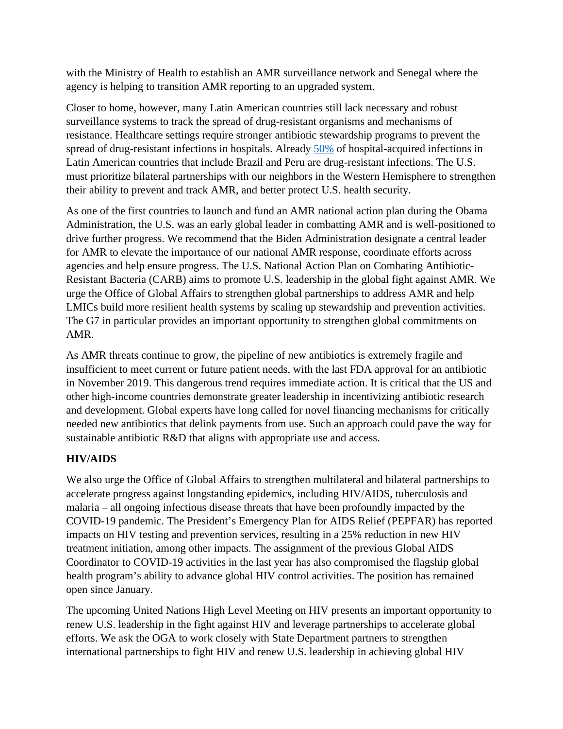with the Ministry of Health to establish an AMR surveillance network and Senegal where the agency is helping to transition AMR reporting to an upgraded system.

Closer to home, however, many Latin American countries still lack necessary and robust surveillance systems to track the spread of drug-resistant organisms and mechanisms of resistance. Healthcare settings require stronger antibiotic stewardship programs to prevent the spread of drug-resistant infections in hospitals. Already [50%](https://longitudeprize.org/blog-post/antimicrobial-crisis-latin-america) of hospital-acquired infections in Latin American countries that include Brazil and Peru are drug-resistant infections. The U.S. must prioritize bilateral partnerships with our neighbors in the Western Hemisphere to strengthen their ability to prevent and track AMR, and better protect U.S. health security.

As one of the first countries to launch and fund an AMR national action plan during the Obama Administration, the U.S. was an early global leader in combatting AMR and is well-positioned to drive further progress. We recommend that the Biden Administration designate a central leader for AMR to elevate the importance of our national AMR response, coordinate efforts across agencies and help ensure progress. The U.S. National Action Plan on Combating Antibiotic-Resistant Bacteria (CARB) aims to promote U.S. leadership in the global fight against AMR. We urge the Office of Global Affairs to strengthen global partnerships to address AMR and help LMICs build more resilient health systems by scaling up stewardship and prevention activities. The G7 in particular provides an important opportunity to strengthen global commitments on AMR.

As AMR threats continue to grow, the pipeline of new antibiotics is extremely fragile and insufficient to meet current or future patient needs, with the last FDA approval for an antibiotic in November 2019. This dangerous trend requires immediate action. It is critical that the US and other high-income countries demonstrate greater leadership in incentivizing antibiotic research and development. Global experts have long called for novel financing mechanisms for critically needed new antibiotics that delink payments from use. Such an approach could pave the way for sustainable antibiotic R&D that aligns with appropriate use and access.

# **HIV/AIDS**

We also urge the Office of Global Affairs to strengthen multilateral and bilateral partnerships to accelerate progress against longstanding epidemics, including HIV/AIDS, tuberculosis and malaria – all ongoing infectious disease threats that have been profoundly impacted by the COVID-19 pandemic. The President's Emergency Plan for AIDS Relief (PEPFAR) has reported impacts on HIV testing and prevention services, resulting in a 25% reduction in new HIV treatment initiation, among other impacts. The assignment of the previous Global AIDS Coordinator to COVID-19 activities in the last year has also compromised the flagship global health program's ability to advance global HIV control activities. The position has remained open since January.

The upcoming United Nations High Level Meeting on HIV presents an important opportunity to renew U.S. leadership in the fight against HIV and leverage partnerships to accelerate global efforts. We ask the OGA to work closely with State Department partners to strengthen international partnerships to fight HIV and renew U.S. leadership in achieving global HIV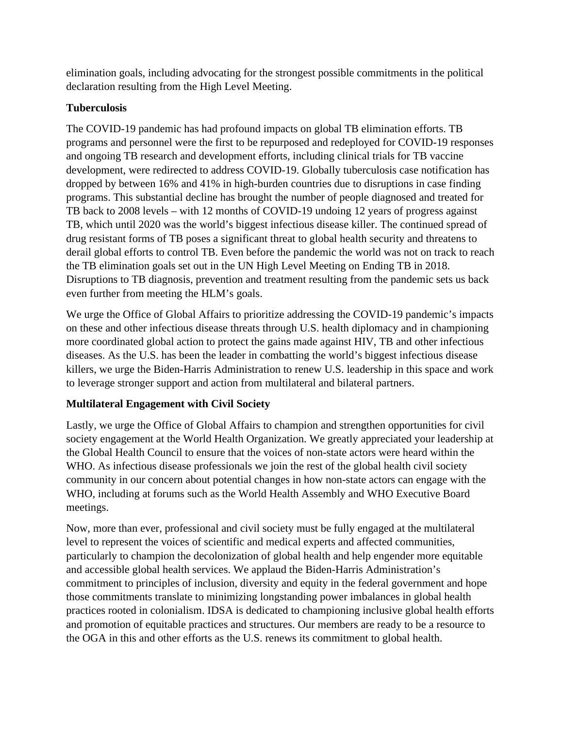elimination goals, including advocating for the strongest possible commitments in the political declaration resulting from the High Level Meeting.

### **Tuberculosis**

The COVID-19 pandemic has had profound impacts on global TB elimination efforts. TB programs and personnel were the first to be repurposed and redeployed for COVID-19 responses and ongoing TB research and development efforts, including clinical trials for TB vaccine development, were redirected to address COVID-19. Globally tuberculosis case notification has dropped by between 16% and 41% in high-burden countries due to disruptions in case finding programs. This substantial decline has brought the number of people diagnosed and treated for TB back to 2008 levels – with 12 months of COVID-19 undoing 12 years of progress against TB, which until 2020 was the world's biggest infectious disease killer. The continued spread of drug resistant forms of TB poses a significant threat to global health security and threatens to derail global efforts to control TB. Even before the pandemic the world was not on track to reach the TB elimination goals set out in the UN High Level Meeting on Ending TB in 2018. Disruptions to TB diagnosis, prevention and treatment resulting from the pandemic sets us back even further from meeting the HLM's goals.

We urge the Office of Global Affairs to prioritize addressing the COVID-19 pandemic's impacts on these and other infectious disease threats through U.S. health diplomacy and in championing more coordinated global action to protect the gains made against HIV, TB and other infectious diseases. As the U.S. has been the leader in combatting the world's biggest infectious disease killers, we urge the Biden-Harris Administration to renew U.S. leadership in this space and work to leverage stronger support and action from multilateral and bilateral partners.

# **Multilateral Engagement with Civil Society**

Lastly, we urge the Office of Global Affairs to champion and strengthen opportunities for civil society engagement at the World Health Organization. We greatly appreciated your leadership at the Global Health Council to ensure that the voices of non-state actors were heard within the WHO. As infectious disease professionals we join the rest of the global health civil society community in our concern about potential changes in how non-state actors can engage with the WHO, including at forums such as the World Health Assembly and WHO Executive Board meetings.

Now, more than ever, professional and civil society must be fully engaged at the multilateral level to represent the voices of scientific and medical experts and affected communities, particularly to champion the decolonization of global health and help engender more equitable and accessible global health services. We applaud the Biden-Harris Administration's commitment to principles of inclusion, diversity and equity in the federal government and hope those commitments translate to minimizing longstanding power imbalances in global health practices rooted in colonialism. IDSA is dedicated to championing inclusive global health efforts and promotion of equitable practices and structures. Our members are ready to be a resource to the OGA in this and other efforts as the U.S. renews its commitment to global health.